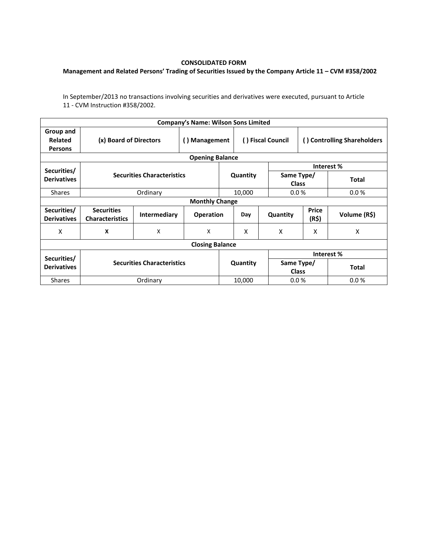## **CONSOLIDATED FORM**

## **Management and Related Persons' Trading of Securities Issued by the Company Article 11 – CVM #358/2002**

In September/2013 no transactions involving securities and derivatives were executed, pursuant to Article 11 - CVM Instruction #358/2002.

|                                        |                                             |                           | <b>Company's Name: Wilson Sons Limited</b> |                   |          |                             |                |              |  |  |  |
|----------------------------------------|---------------------------------------------|---------------------------|--------------------------------------------|-------------------|----------|-----------------------------|----------------|--------------|--|--|--|
| Group and<br>Related<br><b>Persons</b> | (x) Board of Directors                      | () Management             |                                            | () Fiscal Council |          | () Controlling Shareholders |                |              |  |  |  |
| <b>Opening Balance</b>                 |                                             |                           |                                            |                   |          |                             |                |              |  |  |  |
| Securities/                            | <b>Securities Characteristics</b>           |                           |                                            |                   |          | Interest %                  |                |              |  |  |  |
| <b>Derivatives</b>                     |                                             |                           |                                            |                   | Quantity | Same Type/<br><b>Class</b>  |                | <b>Total</b> |  |  |  |
| <b>Shares</b>                          |                                             | Ordinary                  |                                            |                   | 10,000   | 0.0%                        |                | 0.0%         |  |  |  |
| <b>Monthly Change</b>                  |                                             |                           |                                            |                   |          |                             |                |              |  |  |  |
| Securities/<br><b>Derivatives</b>      | <b>Securities</b><br><b>Characteristics</b> | <b>Intermediary</b>       | <b>Operation</b>                           |                   | Day      | Quantity                    | Price<br>(R\$) | Volume (R\$) |  |  |  |
| x                                      | X                                           | $\boldsymbol{\mathsf{X}}$ | X                                          |                   | X        | X                           | X              | X            |  |  |  |
| <b>Closing Balance</b>                 |                                             |                           |                                            |                   |          |                             |                |              |  |  |  |
|                                        |                                             |                           |                                            |                   |          | Interest %                  |                |              |  |  |  |
| Securities/<br><b>Derivatives</b>      | <b>Securities Characteristics</b>           |                           |                                            | Quantity          |          | Same Type/<br><b>Class</b>  |                | <b>Total</b> |  |  |  |
| <b>Shares</b>                          | Ordinary                                    |                           |                                            | 10,000            |          | 0.0%                        |                | 0.0%         |  |  |  |